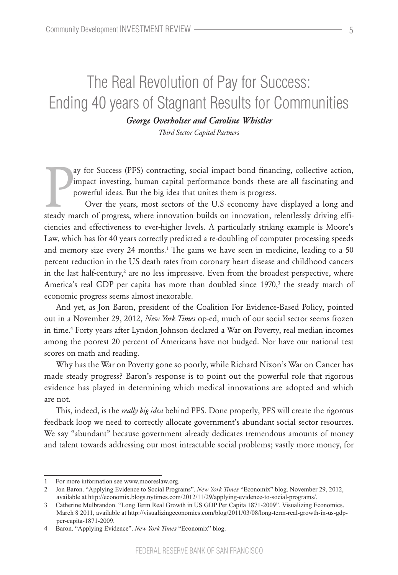# The Real Revolution of Pay for Success: Ending 40 years of Stagnant Results for Communities

*George Overholser and Caroline Whistler*

*Third Sector Capital Partners*

ay for Success (PFS) contracting, social impact bond financing, collective action, impact investing, human capital performance bonds-these are all fascinating and powerful ideas. But the big idea that unites them is progre ay for Success (PFS) contracting, social impact bond financing, collective action, impact investing, human capital performance bonds–these are all fascinating and powerful ideas. But the big idea that unites them is progress.

Over the years, most sectors of the U.S economy have displayed a long and ciencies and effectiveness to ever-higher levels. A particularly striking example is Moore's Law, which has for 40 years correctly predicted a re-doubling of computer processing speeds and memory size every 24 months.<sup>1</sup> The gains we have seen in medicine, leading to a  $50$ percent reduction in the US death rates from coronary heart disease and childhood cancers in the last half-century,<sup>2</sup> are no less impressive. Even from the broadest perspective, where America's real GDP per capita has more than doubled since 1970,<sup>3</sup> the steady march of economic progress seems almost inexorable.

And yet, as Jon Baron, president of the Coalition For Evidence-Based Policy, pointed out in a November 29, 2012, *New York Times* op-ed, much of our social sector seems frozen in time.4 Forty years after Lyndon Johnson declared a War on Poverty, real median incomes among the poorest 20 percent of Americans have not budged. Nor have our national test scores on math and reading.

Why has the War on Poverty gone so poorly, while Richard Nixon's War on Cancer has made steady progress? Baron's response is to point out the powerful role that rigorous evidence has played in determining which medical innovations are adopted and which are not.

This, indeed, is the *really big idea* behind PFS. Done properly, PFS will create the rigorous feedback loop we need to correctly allocate government's abundant social sector resources. We say "abundant" because government already dedicates tremendous amounts of money and talent towards addressing our most intractable social problems; vastly more money, for

<sup>1</sup> For more information see www.mooreslaw.org.

<sup>2</sup> Jon Baron. "Applying Evidence to Social Programs". *New York Times* "Economix" blog. November 29, 2012, available at http://economix.blogs.nytimes.com/2012/11/29/applying-evidence-to-social-programs/.

<sup>3</sup> Catherine Mulbrandon. "Long Term Real Growth in US GDP Per Capita 1871-2009". Visualizing Economics. March 8 2011, available at http://visualizingeconomics.com/blog/2011/03/08/long-term-real-growth-in-us-gdpper-capita-1871-2009.

<sup>4</sup> Baron. "Applying Evidence". *New York Times* "Economix" blog.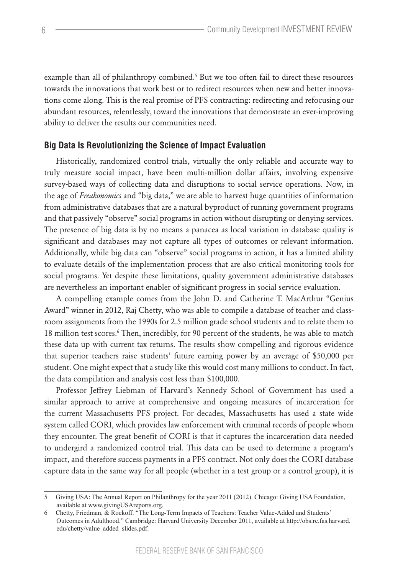example than all of philanthropy combined.<sup>5</sup> But we too often fail to direct these resources towards the innovations that work best or to redirect resources when new and better innovations come along. This is the real promise of PFS contracting: redirecting and refocusing our abundant resources, relentlessly, toward the innovations that demonstrate an ever-improving ability to deliver the results our communities need.

## **Big Data Is Revolutionizing the Science of Impact Evaluation**

Historically, randomized control trials, virtually the only reliable and accurate way to truly measure social impact, have been multi-million dollar affairs, involving expensive survey-based ways of collecting data and disruptions to social service operations. Now, in the age of *Freakonomics* and "big data," we are able to harvest huge quantities of information from administrative databases that are a natural byproduct of running government programs and that passively "observe" social programs in action without disrupting or denying services. The presence of big data is by no means a panacea as local variation in database quality is significant and databases may not capture all types of outcomes or relevant information. Additionally, while big data can "observe" social programs in action, it has a limited ability to evaluate details of the implementation process that are also critical monitoring tools for social programs. Yet despite these limitations, quality government administrative databases are nevertheless an important enabler of significant progress in social service evaluation.

A compelling example comes from the John D. and Catherine T. MacArthur "Genius Award" winner in 2012, Raj Chetty, who was able to compile a database of teacher and classroom assignments from the 1990s for 2.5 million grade school students and to relate them to 18 million test scores.<sup>6</sup> Then, incredibly, for 90 percent of the students, he was able to match these data up with current tax returns. The results show compelling and rigorous evidence that superior teachers raise students' future earning power by an average of \$50,000 per student. One might expect that a study like this would cost many millions to conduct. In fact, the data compilation and analysis cost less than \$100,000.

Professor Jeffrey Liebman of Harvard's Kennedy School of Government has used a similar approach to arrive at comprehensive and ongoing measures of incarceration for the current Massachusetts PFS project. For decades, Massachusetts has used a state wide system called CORI, which provides law enforcement with criminal records of people whom they encounter. The great benefit of CORI is that it captures the incarceration data needed to undergird a randomized control trial. This data can be used to determine a program's impact, and therefore success payments in a PFS contract. Not only does the CORI database capture data in the same way for all people (whether in a test group or a control group), it is

<sup>5</sup> Giving USA: The Annual Report on Philanthropy for the year 2011 (2012). Chicago: Giving USA Foundation, available at www.givingUSAreports.org.

<sup>6</sup> Chetty, Friedman, & Rockoff. "The Long-Term Impacts of Teachers: Teacher Value-Added and Students' Outcomes in Adulthood." Cambridge: Harvard University December 2011, available at http://obs.rc.fas.harvard. edu/chetty/value\_added\_slides.pdf.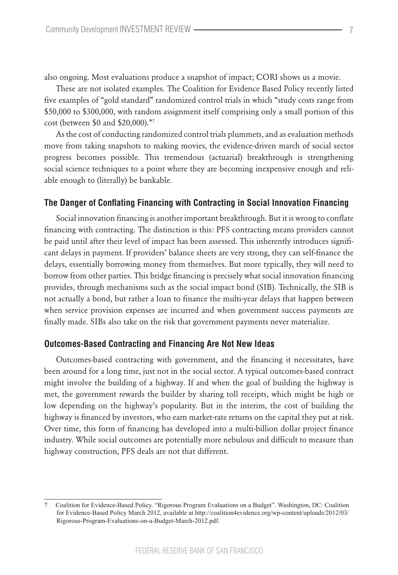also ongoing. Most evaluations produce a snapshot of impact; CORI shows us a movie.

These are not isolated examples. The Coalition for Evidence Based Policy recently listed five examples of "gold standard" randomized control trials in which "study costs range from \$50,000 to \$300,000, with random assignment itself comprising only a small portion of this cost (between \$0 and \$20,000)."7

As the cost of conducting randomized control trials plummets, and as evaluation methods move from taking snapshots to making movies, the evidence-driven march of social sector progress becomes possible. This tremendous (actuarial) breakthrough is strengthening social science techniques to a point where they are becoming inexpensive enough and reliable enough to (literally) be bankable.

#### **The Danger of Conflating Financing with Contracting in Social Innovation Financing**

Social innovation financing is another important breakthrough. But it is wrong to conflate financing with contracting. The distinction is this: PFS contracting means providers cannot be paid until after their level of impact has been assessed. This inherently introduces significant delays in payment. If providers' balance sheets are very strong, they can self-finance the delays, essentially borrowing money from themselves. But more typically, they will need to borrow from other parties. This bridge financing is precisely what social innovation financing provides, through mechanisms such as the social impact bond (SIB). Technically, the SIB is not actually a bond, but rather a loan to finance the multi-year delays that happen between when service provision expenses are incurred and when government success payments are finally made. SIBs also take on the risk that government payments never materialize.

#### **Outcomes-Based Contracting and Financing Are Not New Ideas**

Outcomes-based contracting with government, and the financing it necessitates, have been around for a long time, just not in the social sector. A typical outcomes-based contract might involve the building of a highway. If and when the goal of building the highway is met, the government rewards the builder by sharing toll receipts, which might be high or low depending on the highway's popularity. But in the interim, the cost of building the highway is financed by investors, who earn market-rate returns on the capital they put at risk. Over time, this form of financing has developed into a multi-billion dollar project finance industry. While social outcomes are potentially more nebulous and difficult to measure than highway construction, PFS deals are not that different.

<sup>7</sup> Coalition for Evidence-Based Policy. "Rigorous Program Evaluations on a Budget". Washington, DC: Coalition for Evidence-Based Policy March 2012, available at http://coalition4evidence.org/wp-content/uploads/2012/03/ Rigorous-Program-Evaluations-on-a-Budget-March-2012.pdf.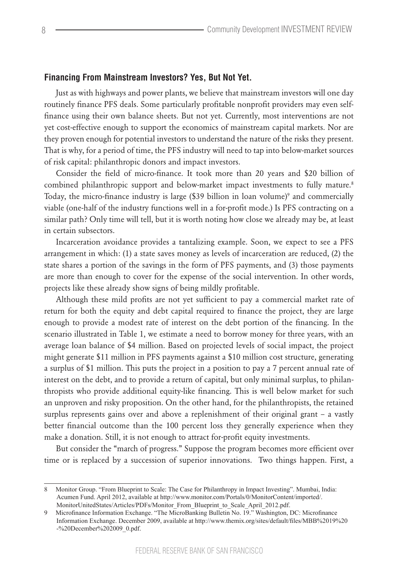### **Financing From Mainstream Investors? Yes, But Not Yet.**

Just as with highways and power plants, we believe that mainstream investors will one day routinely finance PFS deals. Some particularly profitable nonprofit providers may even selffinance using their own balance sheets. But not yet. Currently, most interventions are not yet cost-effective enough to support the economics of mainstream capital markets. Nor are they proven enough for potential investors to understand the nature of the risks they present. That is why, for a period of time, the PFS industry will need to tap into below-market sources of risk capital: philanthropic donors and impact investors.

Consider the field of micro-finance. It took more than 20 years and \$20 billion of combined philanthropic support and below-market impact investments to fully mature.<sup>8</sup> Today, the micro-finance industry is large (\$39 billion in loan volume)<sup>9</sup> and commercially viable (one-half of the industry functions well in a for-profit mode.) Is PFS contracting on a similar path? Only time will tell, but it is worth noting how close we already may be, at least in certain subsectors.

Incarceration avoidance provides a tantalizing example. Soon, we expect to see a PFS arrangement in which: (1) a state saves money as levels of incarceration are reduced, (2) the state shares a portion of the savings in the form of PFS payments, and (3) those payments are more than enough to cover for the expense of the social intervention. In other words, projects like these already show signs of being mildly profitable.

Although these mild profits are not yet sufficient to pay a commercial market rate of return for both the equity and debt capital required to finance the project, they are large enough to provide a modest rate of interest on the debt portion of the financing. In the scenario illustrated in Table 1, we estimate a need to borrow money for three years, with an average loan balance of \$4 million. Based on projected levels of social impact, the project might generate \$11 million in PFS payments against a \$10 million cost structure, generating a surplus of \$1 million. This puts the project in a position to pay a 7 percent annual rate of interest on the debt, and to provide a return of capital, but only minimal surplus, to philanthropists who provide additional equity-like financing. This is well below market for such an unproven and risky proposition. On the other hand, for the philanthropists, the retained surplus represents gains over and above a replenishment of their original grant – a vastly better financial outcome than the 100 percent loss they generally experience when they make a donation. Still, it is not enough to attract for-profit equity investments.

But consider the "march of progress." Suppose the program becomes more efficient over time or is replaced by a succession of superior innovations. Two things happen. First, a

<sup>8</sup> Monitor Group. "From Blueprint to Scale: The Case for Philanthropy in Impact Investing". Mumbai, India: Acumen Fund. April 2012, available at http://www.monitor.com/Portals/0/MonitorContent/imported/. MonitorUnitedStates/Articles/PDFs/Monitor\_From\_Blueprint\_to\_Scale\_April\_2012.pdf.

<sup>9</sup> Microfinance Information Exchange. "The MicroBanking Bulletin No. 19." Washington, DC: Microfinance Information Exchange. December 2009, available at http://www.themix.org/sites/default/files/MBB%2019%20 -%20December%202009\_0.pdf.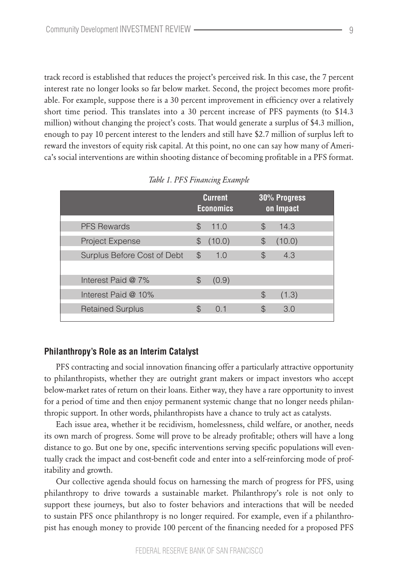track record is established that reduces the project's perceived risk. In this case, the 7 percent interest rate no longer looks so far below market. Second, the project becomes more profitable. For example, suppose there is a 30 percent improvement in efficiency over a relatively short time period. This translates into a 30 percent increase of PFS payments (to \$14.3 million) without changing the project's costs. That would generate a surplus of \$4.3 million, enough to pay 10 percent interest to the lenders and still have \$2.7 million of surplus left to reward the investors of equity risk capital. At this point, no one can say how many of America's social interventions are within shooting distance of becoming profitable in a PFS format.

| <b>Current</b>   | 30% Progress  |
|------------------|---------------|
| <b>Economics</b> | on Impact     |
| 11.0             | \$            |
| \$               | 14.3          |
| (10.0)           | $\mathcal{C}$ |
| \$               | (10.0)        |
| $\frac{1}{2}$    | \$            |
| 1.0              | 4.3           |
|                  |               |
| \$<br>(0.9)      |               |
|                  | \$<br>(1.3)   |
| \$               | 3.0           |
| 0.1              | \$            |
|                  |               |

*Table 1. PFS Financing Example*

## **Philanthropy's Role as an Interim Catalyst**

PFS contracting and social innovation financing offer a particularly attractive opportunity to philanthropists, whether they are outright grant makers or impact investors who accept below-market rates of return on their loans. Either way, they have a rare opportunity to invest for a period of time and then enjoy permanent systemic change that no longer needs philanthropic support. In other words, philanthropists have a chance to truly act as catalysts.

Each issue area, whether it be recidivism, homelessness, child welfare, or another, needs its own march of progress. Some will prove to be already profitable; others will have a long distance to go. But one by one, specific interventions serving specific populations will eventually crack the impact and cost-benefit code and enter into a self-reinforcing mode of profitability and growth.

Our collective agenda should focus on harnessing the march of progress for PFS, using philanthropy to drive towards a sustainable market. Philanthropy's role is not only to support these journeys, but also to foster behaviors and interactions that will be needed to sustain PFS once philanthropy is no longer required. For example, even if a philanthropist has enough money to provide 100 percent of the financing needed for a proposed PFS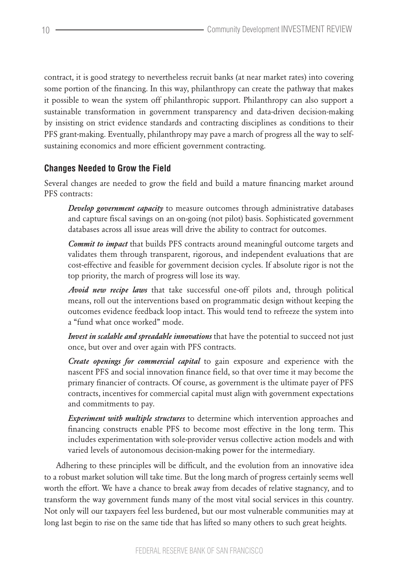contract, it is good strategy to nevertheless recruit banks (at near market rates) into covering some portion of the financing. In this way, philanthropy can create the pathway that makes it possible to wean the system off philanthropic support. Philanthropy can also support a sustainable transformation in government transparency and data-driven decision-making by insisting on strict evidence standards and contracting disciplines as conditions to their PFS grant-making. Eventually, philanthropy may pave a march of progress all the way to selfsustaining economics and more efficient government contracting.

# **Changes Needed to Grow the Field**

Several changes are needed to grow the field and build a mature financing market around PFS contracts:

*Develop government capacity* to measure outcomes through administrative databases and capture fiscal savings on an on-going (not pilot) basis. Sophisticated government databases across all issue areas will drive the ability to contract for outcomes.

*Commit to impact* that builds PFS contracts around meaningful outcome targets and validates them through transparent, rigorous, and independent evaluations that are cost-effective and feasible for government decision cycles. If absolute rigor is not the top priority, the march of progress will lose its way.

*Avoid new recipe laws* that take successful one-off pilots and, through political means, roll out the interventions based on programmatic design without keeping the outcomes evidence feedback loop intact. This would tend to refreeze the system into a "fund what once worked" mode.

*Invest in scalable and spreadable innovations* that have the potential to succeed not just once, but over and over again with PFS contracts.

*Create openings for commercial capital* to gain exposure and experience with the nascent PFS and social innovation finance field, so that over time it may become the primary financier of contracts. Of course, as government is the ultimate payer of PFS contracts, incentives for commercial capital must align with government expectations and commitments to pay.

*Experiment with multiple structures* to determine which intervention approaches and financing constructs enable PFS to become most effective in the long term. This includes experimentation with sole-provider versus collective action models and with varied levels of autonomous decision-making power for the intermediary.

Adhering to these principles will be difficult, and the evolution from an innovative idea to a robust market solution will take time. But the long march of progress certainly seems well worth the effort. We have a chance to break away from decades of relative stagnancy, and to transform the way government funds many of the most vital social services in this country. Not only will our taxpayers feel less burdened, but our most vulnerable communities may at long last begin to rise on the same tide that has lifted so many others to such great heights.